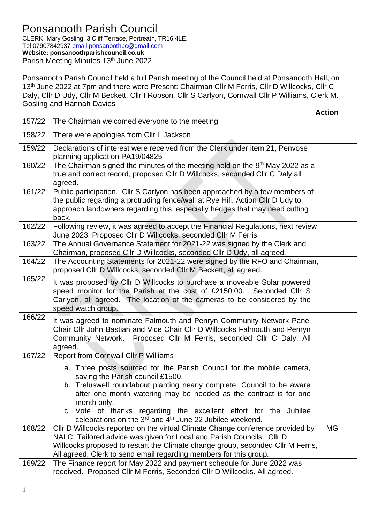## Ponsanooth Parish Council

CLERK. Mary Gosling. 3 Cliff Terrace, Portreath, TR16 4LE. Tel 07907842937 email [ponsanoothpc@gmail.com](mailto:ponsanoothpc@gmail.com) **Website: ponsanoothparishcouncil.co.uk** Parish Meeting Minutes 13th June 2022

Ponsanooth Parish Council held a full Parish meeting of the Council held at Ponsanooth Hall, on 13<sup>th</sup> June 2022 at 7pm and there were Present: Chairman Cllr M Ferris, Cllr D Willcocks, Cllr C Daly, Cllr D Udy, Cllr M Beckett, Cllr I Robson, Cllr S Carlyon, Cornwall Cllr P Williams, Clerk M. Gosling and Hannah Davies

|        |                                                                                                                                                                                                                                                                                                                                                                                                                  | <b>Action</b> |
|--------|------------------------------------------------------------------------------------------------------------------------------------------------------------------------------------------------------------------------------------------------------------------------------------------------------------------------------------------------------------------------------------------------------------------|---------------|
| 157/22 | The Chairman welcomed everyone to the meeting                                                                                                                                                                                                                                                                                                                                                                    |               |
| 158/22 | There were apologies from Cllr L Jackson                                                                                                                                                                                                                                                                                                                                                                         |               |
| 159/22 | Declarations of interest were received from the Clerk under item 21, Penvose<br>planning application PA19/04825                                                                                                                                                                                                                                                                                                  |               |
| 160/22 | The Chairman signed the minutes of the meeting held on the 9th May 2022 as a<br>true and correct record, proposed Cllr D Willcocks, seconded Cllr C Daly all<br>agreed.                                                                                                                                                                                                                                          |               |
| 161/22 | Public participation. Cllr S Carlyon has been approached by a few members of<br>the public regarding a protruding fence/wall at Rye Hill. Action Cllr D Udy to<br>approach landowners regarding this, especially hedges that may need cutting<br>back.                                                                                                                                                           |               |
| 162/22 | Following review, it was agreed to accept the Financial Regulations, next review<br>June 2023. Proposed Cllr D Willcocks, seconded Cllr M Ferris                                                                                                                                                                                                                                                                 |               |
| 163/22 | The Annual Governance Statement for 2021-22 was signed by the Clerk and<br>Chairman, proposed Cllr D Willcocks, seconded Cllr D Udy, all agreed.                                                                                                                                                                                                                                                                 |               |
| 164/22 | The Accounting Statements for 2021-22 were signed by the RFO and Chairman,<br>proposed Cllr D Willcocks, seconded Cllr M Beckett, all agreed.                                                                                                                                                                                                                                                                    |               |
| 165/22 | It was proposed by CIIr D Willcocks to purchase a moveable Solar powered<br>speed monitor for the Parish at the cost of £2150.00. Seconded Cllr S<br>Carlyon, all agreed. The location of the cameras to be considered by the<br>speed watch group.                                                                                                                                                              |               |
| 166/22 | It was agreed to nominate Falmouth and Penryn Community Network Panel<br>Chair Cllr John Bastian and Vice Chair Cllr D Willcocks Falmouth and Penryn<br>Community Network. Proposed Cllr M Ferris, seconded Cllr C Daly. All<br>agreed.                                                                                                                                                                          |               |
| 167/22 | <b>Report from Cornwall Cllr P Williams</b>                                                                                                                                                                                                                                                                                                                                                                      |               |
|        | a. Three posts sourced for the Parish Council for the mobile camera,<br>saving the Parish council £1500.<br>b. Treluswell roundabout planting nearly complete, Council to be aware<br>after one month watering may be needed as the contract is for one<br>month only.<br>c. Vote of thanks regarding the excellent effort for the Jubilee<br>celebrations on the $3^{rd}$ and $4^{th}$ June 22 Jubilee weekend. |               |
| 168/22 | CIIr D Willcocks reported on the virtual Climate Change conference provided by<br>NALC. Tailored advice was given for Local and Parish Councils. Cllr D<br>Willcocks proposed to restart the Climate change group, seconded Cllr M Ferris,<br>All agreed, Clerk to send email regarding members for this group.                                                                                                  | <b>MG</b>     |
| 169/22 | The Finance report for May 2022 and payment schedule for June 2022 was<br>received. Proposed Cllr M Ferris, Seconded Cllr D Willcocks. All agreed.                                                                                                                                                                                                                                                               |               |